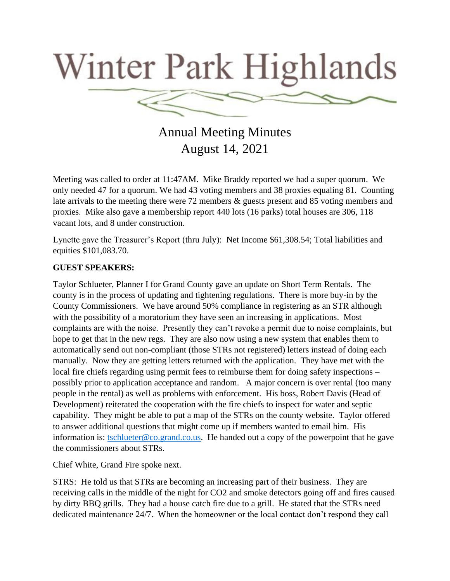

Annual Meeting Minutes August 14, 2021

Meeting was called to order at 11:47AM. Mike Braddy reported we had a super quorum. We only needed 47 for a quorum. We had 43 voting members and 38 proxies equaling 81. Counting late arrivals to the meeting there were 72 members & guests present and 85 voting members and proxies. Mike also gave a membership report 440 lots (16 parks) total houses are 306, 118 vacant lots, and 8 under construction.

Lynette gave the Treasurer's Report (thru July): Net Income \$61,308.54; Total liabilities and equities \$101,083.70.

## **GUEST SPEAKERS:**

Taylor Schlueter, Planner I for Grand County gave an update on Short Term Rentals. The county is in the process of updating and tightening regulations. There is more buy-in by the County Commissioners. We have around 50% compliance in registering as an STR although with the possibility of a moratorium they have seen an increasing in applications. Most complaints are with the noise. Presently they can't revoke a permit due to noise complaints, but hope to get that in the new regs. They are also now using a new system that enables them to automatically send out non-compliant (those STRs not registered) letters instead of doing each manually. Now they are getting letters returned with the application. They have met with the local fire chiefs regarding using permit fees to reimburse them for doing safety inspections – possibly prior to application acceptance and random. A major concern is over rental (too many people in the rental) as well as problems with enforcement. His boss, Robert Davis (Head of Development) reiterated the cooperation with the fire chiefs to inspect for water and septic capability. They might be able to put a map of the STRs on the county website. Taylor offered to answer additional questions that might come up if members wanted to email him. His information is: [tschlueter@co.grand.co.us.](mailto:tschlueter@co.grand.co.us) He handed out a copy of the powerpoint that he gave the commissioners about STRs.

Chief White, Grand Fire spoke next.

STRS: He told us that STRs are becoming an increasing part of their business. They are receiving calls in the middle of the night for CO2 and smoke detectors going off and fires caused by dirty BBQ grills. They had a house catch fire due to a grill. He stated that the STRs need dedicated maintenance 24/7. When the homeowner or the local contact don't respond they call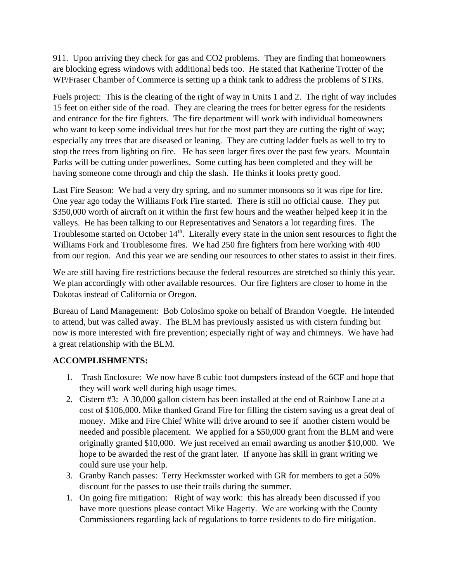911. Upon arriving they check for gas and CO2 problems. They are finding that homeowners are blocking egress windows with additional beds too. He stated that Katherine Trotter of the WP/Fraser Chamber of Commerce is setting up a think tank to address the problems of STRs.

Fuels project: This is the clearing of the right of way in Units 1 and 2. The right of way includes 15 feet on either side of the road. They are clearing the trees for better egress for the residents and entrance for the fire fighters. The fire department will work with individual homeowners who want to keep some individual trees but for the most part they are cutting the right of way; especially any trees that are diseased or leaning. They are cutting ladder fuels as well to try to stop the trees from lighting on fire. He has seen larger fires over the past few years. Mountain Parks will be cutting under powerlines. Some cutting has been completed and they will be having someone come through and chip the slash. He thinks it looks pretty good.

Last Fire Season: We had a very dry spring, and no summer monsoons so it was ripe for fire. One year ago today the Williams Fork Fire started. There is still no official cause. They put \$350,000 worth of aircraft on it within the first few hours and the weather helped keep it in the valleys. He has been talking to our Representatives and Senators a lot regarding fires. The Troublesome started on October 14<sup>th</sup>. Literally every state in the union sent resources to fight the Williams Fork and Troublesome fires. We had 250 fire fighters from here working with 400 from our region. And this year we are sending our resources to other states to assist in their fires.

We are still having fire restrictions because the federal resources are stretched so thinly this year. We plan accordingly with other available resources. Our fire fighters are closer to home in the Dakotas instead of California or Oregon.

Bureau of Land Management: Bob Colosimo spoke on behalf of Brandon Voegtle. He intended to attend, but was called away. The BLM has previously assisted us with cistern funding but now is more interested with fire prevention; especially right of way and chimneys. We have had a great relationship with the BLM.

## **ACCOMPLISHMENTS:**

- 1. Trash Enclosure: We now have 8 cubic foot dumpsters instead of the 6CF and hope that they will work well during high usage times.
- 2. Cistern #3: A 30,000 gallon cistern has been installed at the end of Rainbow Lane at a cost of \$106,000. Mike thanked Grand Fire for filling the cistern saving us a great deal of money. Mike and Fire Chief White will drive around to see if another cistern would be needed and possible placement. We applied for a \$50,000 grant from the BLM and were originally granted \$10,000. We just received an email awarding us another \$10,000. We hope to be awarded the rest of the grant later. If anyone has skill in grant writing we could sure use your help.
- 3. Granby Ranch passes: Terry Heckmsster worked with GR for members to get a 50% discount for the passes to use their trails during the summer.
- 1. On going fire mitigation: Right of way work: this has already been discussed if you have more questions please contact Mike Hagerty. We are working with the County Commissioners regarding lack of regulations to force residents to do fire mitigation.